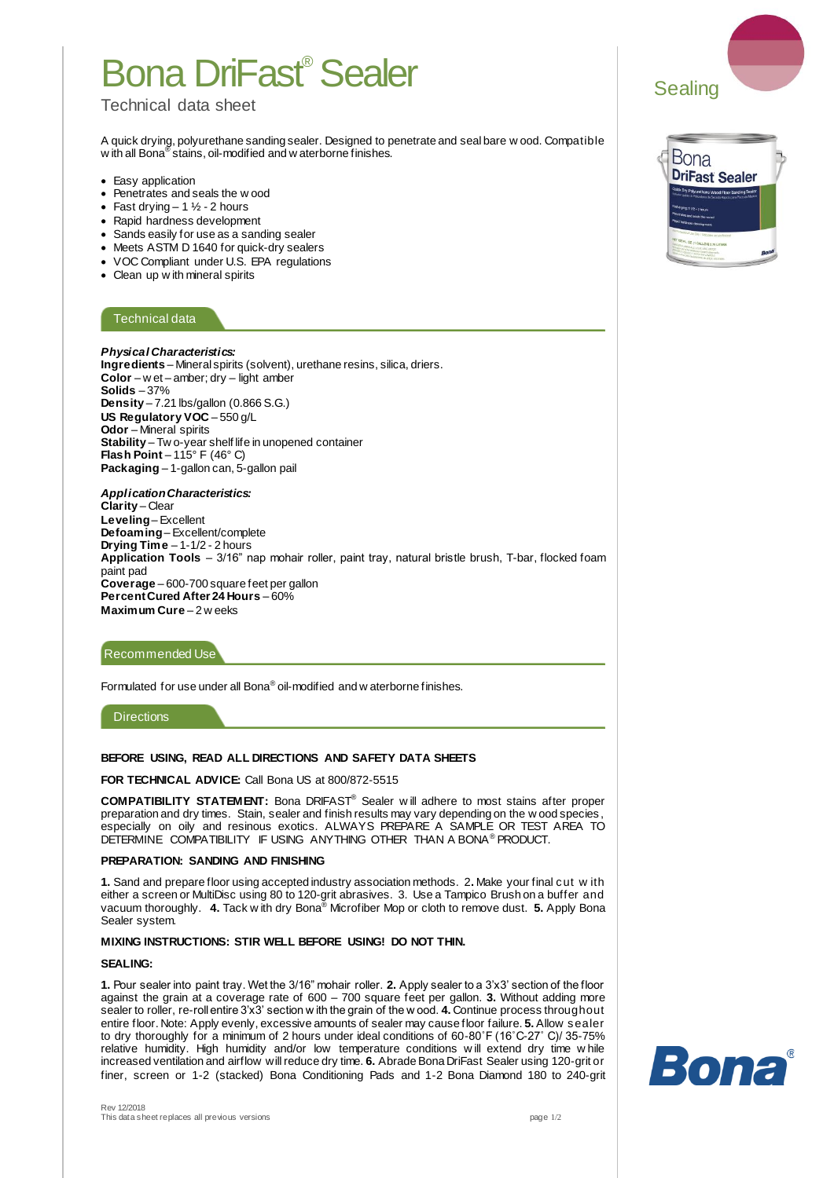# Bona DriFast® Sealer

## Technical data sheet

A quick drying, polyurethane sanding sealer. Designed to penetrate and seal bare w ood. Compatible w ith all Bona<sup>®</sup> stains, oil-modified and w aterborne finishes.

- Easy application
- Penetrates and seals the w ood
- Fast drying  $-1\frac{1}{2}$  2 hours
- Rapid hardness development
- Sands easily for use as a sanding sealer
- Meets ASTM D 1640 for quick-dry sealers
- VOC Compliant under U.S. EPA regulations
- Clean up w ith mineral spirits

## Technical data

*Physical Characteristics:* **Ingredients** – Mineral spirits (solvent), urethane resins, silica, driers. **Color** – w et – amber; dry – light amber **Solids** – 37% **Density** – 7.21 lbs/gallon (0.866 S.G.) **US Regulatory VOC** – 550 g/L **Odor** – Mineral spirits **Stability** – Tw o-year shelf life in unopened container **Flash Point** – 115° F (46° C) **Packaging** – 1-gallon can, 5-gallon pail

#### *Application Characteristics:*  **Clarity** – Clear **Leveling**– Excellent **Defoaming**– Excellent/complete **Drying Time** – 1-1/2 - 2 hours **Application Tools** – 3/16" nap mohair roller, paint tray, natural bristle brush, T-bar, flocked foam paint pad **Coverage** – 600-700 square feet per gallon **Percent Cured After 24 Hours** – 60% **Maximum Cure** – 2 w eeks

## Recommended Use

Formulated for use under all Bona<sup>®</sup> oil-modified and w aterborne finishes.

## **Directions**

#### **BEFORE USING, READ ALL DIRECTIONS AND SAFETY DATA SHEETS**

**FOR TECHNICAL ADVICE:** Call Bona US at 800/872-5515

**COMPATIBILITY STATEMENT:** Bona DRIFAST® Sealer w ill adhere to most stains after proper preparation and dry times. Stain, sealer and finish results may vary depending on the w ood species, especially on oily and resinous exotics. ALWAYS PREPARE A SAMPLE OR TEST AREA TO DETERMINE COMPATIBILITY IF USING ANYTHING OTHER THAN A BONA® PRODUCT.

#### **PREPARATION: SANDING AND FINISHING**

**1.** Sand and prepare floor using accepted industry association methods. 2**.** Make your final cut w ith either a screen or MultiDisc using 80 to 120-grit abrasives. 3. Use a Tampico Brush on a buffer and vacuum thoroughly. **4.** Tack w ith dry Bona® Microfiber Mop or cloth to remove dust. **5.** Apply Bona Sealer system.

### **MIXING INSTRUCTIONS: STIR WELL BEFORE USING! DO NOT THIN.**

#### **SEALING:**

**1.** Pour sealer into paint tray. Wet the 3/16" mohair roller. **2.** Apply sealer to a 3'x3' section of the floor against the grain at a coverage rate of 600 – 700 square feet per gallon. **3.** Without adding more sealer to roller, re-roll entire 3'x3' section w ith the grain of the w ood. **4.** Continue process throughout entire floor. Note: Apply evenly, excessive amounts of sealer may cause floor failure. **5.** Allow sealer to dry thoroughly for a minimum of 2 hours under ideal conditions of 60-80˚F (16˚C-27˚ C)/ 35-75% relative humidity. High humidity and/or low temperature conditions w ill extend dry time w hile increased ventilation and airflow will reduce dry time. **6.** Abrade Bona DriFast Sealer using 120-grit or finer, screen or 1-2 (stacked) Bona Conditioning Pads and 1-2 Bona Diamond 180 to 240-grit